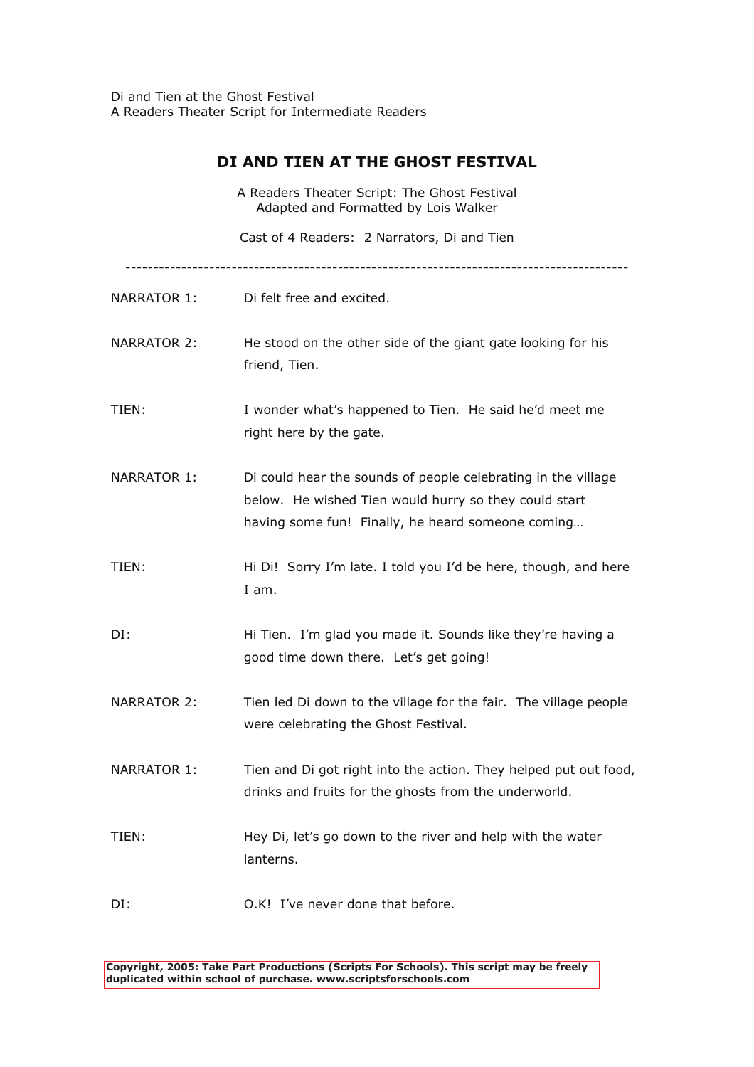Di and Tien at the Ghost Festival A Readers Theater Script for Intermediate Readers

## **DI AND TIEN AT THE GHOST FESTIVAL**

|             | A Readers Theater Script: The Ghost Festival<br>Adapted and Formatted by Lois Walker                                                                                        |
|-------------|-----------------------------------------------------------------------------------------------------------------------------------------------------------------------------|
|             | Cast of 4 Readers: 2 Narrators, Di and Tien                                                                                                                                 |
| NARRATOR 1: | Di felt free and excited.                                                                                                                                                   |
| NARRATOR 2: | He stood on the other side of the giant gate looking for his<br>friend, Tien.                                                                                               |
| TIEN:       | I wonder what's happened to Tien. He said he'd meet me<br>right here by the gate.                                                                                           |
| NARRATOR 1: | Di could hear the sounds of people celebrating in the village<br>below. He wished Tien would hurry so they could start<br>having some fun! Finally, he heard someone coming |
| TIEN:       | Hi Di! Sorry I'm late. I told you I'd be here, though, and here<br>I am.                                                                                                    |
| DI:         | Hi Tien. I'm glad you made it. Sounds like they're having a<br>good time down there. Let's get going!                                                                       |
| NARRATOR 2: | Tien led Di down to the village for the fair. The village people<br>were celebrating the Ghost Festival.                                                                    |
| NARRATOR 1: | Tien and Di got right into the action. They helped put out food,<br>drinks and fruits for the ghosts from the underworld.                                                   |
| TIEN:       | Hey Di, let's go down to the river and help with the water<br>lanterns.                                                                                                     |
| DI:         | O.K! I've never done that before.                                                                                                                                           |